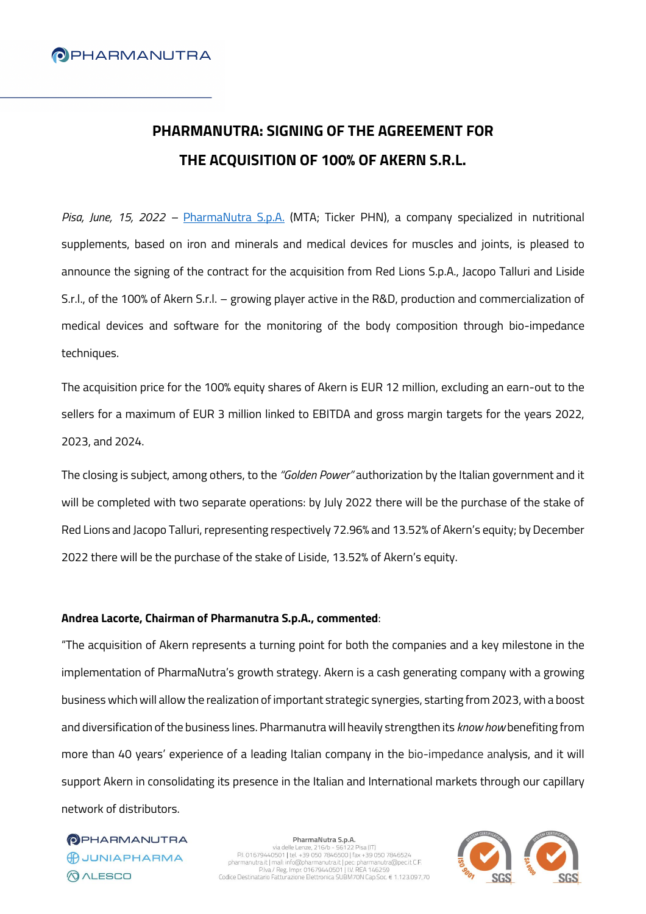# **PHARMANUTRA: SIGNING OF THE AGREEMENT FOR THE ACQUISITION OF 100% OF AKERN S.R.L.**

*Pisa, June, 15, 2022 –* [PharmaNutra S.p.A.](https://www.pharmanutra.it/it/) (MTA; Ticker PHN), a company specialized in nutritional supplements, based on iron and minerals and medical devices for muscles and joints, is pleased to announce the signing of the contract for the acquisition from Red Lions S.p.A., Jacopo Talluri and Liside S.r.l., of the 100% of Akern S.r.l. – growing player active in the R&D, production and commercialization of medical devices and software for the monitoring of the body composition through bio-impedance techniques.

The acquisition price for the 100% equity shares of Akern is EUR 12 million, excluding an earn-out to the sellers for a maximum of EUR 3 million linked to EBITDA and gross margin targets for the years 2022, 2023, and 2024.

The closing is subject, among others, to the *"Golden Power"* authorization by the Italian government and it will be completed with two separate operations: by July 2022 there will be the purchase of the stake of Red Lions and Jacopo Talluri, representing respectively 72.96% and 13.52% of Akern's equity; by December 2022 there will be the purchase of the stake of Liside, 13.52% of Akern's equity.

## **Andrea Lacorte, Chairman of Pharmanutra S.p.A., commented**:

"The acquisition of Akern represents a turning point for both the companies and a key milestone in the implementation of PharmaNutra's growth strategy. Akern is a cash generating company with a growing business which will allow the realization of important strategic synergies, starting from 2023, with a boost and diversification of the business lines. Pharmanutra will heavily strengthen its *know how* benefiting from more than 40 years' experience of a leading Italian company in the bio-impedance analysis, and it will support Akern in consolidating its presence in the Italian and International markets through our capillary network of distributors.

**OPHARMANUTRA** BUUNIAPHARMA **QALESCO** 

PharmaNutra S.p.A. Via delle Lenze, 216/b - 56122 Pisa (IT)<br>PI. 01679440501 | tel. +39 050 7846500 | fax +39 050 7846524<br>pharmanutarial (mall: info@pharmanutarial (per: pharmanutarial)<br>PINA / Reg. Impr. 01679440501 | I.V. REA 146259<br>Codice D